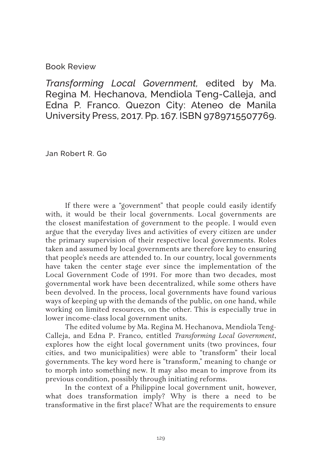Book Review

*Transforming Local Government,* edited by Ma. Regina M. Hechanova, Mendiola Teng-Calleja, and Edna P. Franco. Quezon City: Ateneo de Manila University Press, 2017. Pp. 167. ISBN 9789715507769.

Jan Robert R. Go

If there were a "government" that people could easily identify with, it would be their local governments. Local governments are the closest manifestation of government to the people. I would even argue that the everyday lives and activities of every citizen are under the primary supervision of their respective local governments. Roles taken and assumed by local governments are therefore key to ensuring that people's needs are attended to. In our country, local governments have taken the center stage ever since the implementation of the Local Government Code of 1991. For more than two decades, most governmental work have been decentralized, while some others have been devolved. In the process, local governments have found various ways of keeping up with the demands of the public, on one hand, while working on limited resources, on the other. This is especially true in lower income-class local government units.

The edited volume by Ma. Regina M. Hechanova, Mendiola Teng-Calleja, and Edna P. Franco, entitled *Transforming Local Government*, explores how the eight local government units (two provinces, four cities, and two municipalities) were able to "transform" their local governments. The key word here is "transform," meaning to change or to morph into something new. It may also mean to improve from its previous condition, possibly through initiating reforms.

In the context of a Philippine local government unit, however, what does transformation imply? Why is there a need to be transformative in the first place? What are the requirements to ensure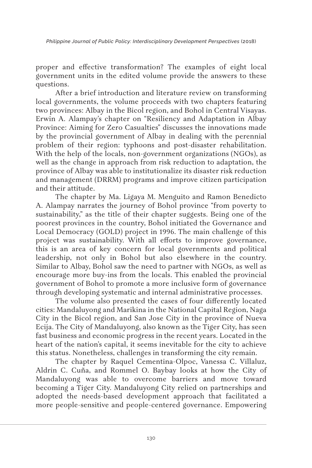*Philippine Journal of Public Policy: Interdisciplinary Development Perspectives* (2018)

proper and effective transformation? The examples of eight local government units in the edited volume provide the answers to these questions.

After a brief introduction and literature review on transforming local governments, the volume proceeds with two chapters featuring two provinces: Albay in the Bicol region, and Bohol in Central Visayas. Erwin A. Alampay's chapter on "Resiliency and Adaptation in Albay Province: Aiming for Zero Casualties" discusses the innovations made by the provincial government of Albay in dealing with the perennial problem of their region: typhoons and post-disaster rehabilitation. With the help of the locals, non-government organizations (NGOs), as well as the change in approach from risk reduction to adaptation, the province of Albay was able to institutionalize its disaster risk reduction and management (DRRM) programs and improve citizen participation and their attitude.

The chapter by Ma. Ligaya M. Menguito and Ramon Benedicto A. Alampay narrates the journey of Bohol province "from poverty to sustainability," as the title of their chapter suggests. Being one of the poorest provinces in the country, Bohol initiated the Governance and Local Democracy (GOLD) project in 1996. The main challenge of this project was sustainability. With all efforts to improve governance, this is an area of key concern for local governments and political leadership, not only in Bohol but also elsewhere in the country. Similar to Albay, Bohol saw the need to partner with NGOs, as well as encourage more buy-ins from the locals. This enabled the provincial government of Bohol to promote a more inclusive form of governance through developing systematic and internal administrative processes.

The volume also presented the cases of four differently located cities: Mandaluyong and Marikina in the National Capital Region, Naga City in the Bicol region, and San Jose City in the province of Nueva Ecija. The City of Mandaluyong, also known as the Tiger City, has seen fast business and economic progress in the recent years. Located in the heart of the nation's capital, it seems inevitable for the city to achieve this status. Nonetheless, challenges in transforming the city remain.

The chapter by Raquel Cementina-Olpoc, Vanessa C. Villaluz, Aldrin C. Cuña, and Rommel O. Baybay looks at how the City of Mandaluyong was able to overcome barriers and move toward becoming a Tiger City. Mandaluyong City relied on partnerships and adopted the needs-based development approach that facilitated a more people-sensitive and people-centered governance. Empowering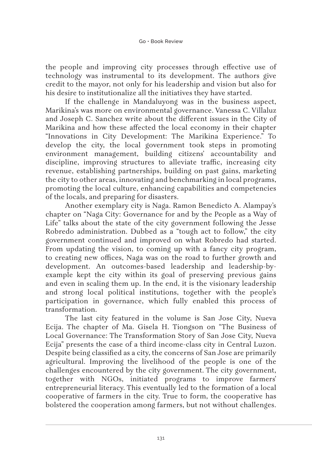the people and improving city processes through effective use of technology was instrumental to its development. The authors give credit to the mayor, not only for his leadership and vision but also for his desire to institutionalize all the initiatives they have started.

If the challenge in Mandaluyong was in the business aspect, Marikina's was more on environmental governance. Vanessa C. Villaluz and Joseph C. Sanchez write about the different issues in the City of Marikina and how these affected the local economy in their chapter "Innovations in City Development: The Marikina Experience." To develop the city, the local government took steps in promoting environment management, building citizens' accountability and discipline, improving structures to alleviate traffic, increasing city revenue, establishing partnerships, building on past gains, marketing the city to other areas, innovating and benchmarking in local programs, promoting the local culture, enhancing capabilities and competencies of the locals, and preparing for disasters.

Another exemplary city is Naga. Ramon Benedicto A. Alampay's chapter on "Naga City: Governance for and by the People as a Way of Life" talks about the state of the city government following the Jesse Robredo administration. Dubbed as a "tough act to follow," the city government continued and improved on what Robredo had started. From updating the vision, to coming up with a fancy city program, to creating new offices, Naga was on the road to further growth and development. An outcomes-based leadership and leadership-byexample kept the city within its goal of preserving previous gains and even in scaling them up. In the end, it is the visionary leadership and strong local political institutions, together with the people's participation in governance, which fully enabled this process of transformation.

The last city featured in the volume is San Jose City, Nueva Ecija. The chapter of Ma. Gisela H. Tiongson on "The Business of Local Governance: The Transformation Story of San Jose City, Nueva Ecija" presents the case of a third income-class city in Central Luzon. Despite being classified as a city, the concerns of San Jose are primarily agricultural. Improving the livelihood of the people is one of the challenges encountered by the city government. The city government, together with NGOs, initiated programs to improve farmers' entrepreneurial literacy. This eventually led to the formation of a local cooperative of farmers in the city. True to form, the cooperative has bolstered the cooperation among farmers, but not without challenges.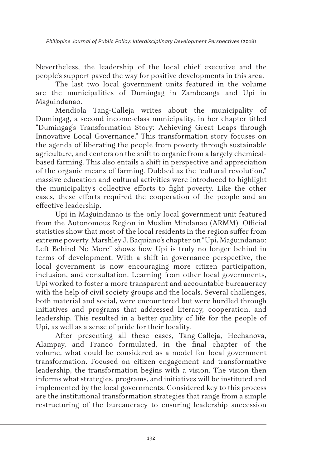Nevertheless, the leadership of the local chief executive and the people's support paved the way for positive developments in this area.

The last two local government units featured in the volume are the municipalities of Dumingag in Zamboanga and Upi in Maguindanao.

Mendiola Tang-Calleja writes about the municipality of Dumingag, a second income-class municipality, in her chapter titled "Dumingag's Transformation Story: Achieving Great Leaps through Innovative Local Governance." This transformation story focuses on the agenda of liberating the people from poverty through sustainable agriculture, and centers on the shift to organic from a largely chemicalbased farming. This also entails a shift in perspective and appreciation of the organic means of farming. Dubbed as the "cultural revolution," massive education and cultural activities were introduced to highlight the municipality's collective efforts to fight poverty. Like the other cases, these efforts required the cooperation of the people and an effective leadership.

Upi in Maguindanao is the only local government unit featured from the Autonomous Region in Muslim Mindanao (ARMM). Official statistics show that most of the local residents in the region suffer from extreme poverty. Marshley J. Baquiano's chapter on "Upi, Maguindanao: Left Behind No More" shows how Upi is truly no longer behind in terms of development. With a shift in governance perspective, the local government is now encouraging more citizen participation, inclusion, and consultation. Learning from other local governments, Upi worked to foster a more transparent and accountable bureaucracy with the help of civil society groups and the locals. Several challenges, both material and social, were encountered but were hurdled through initiatives and programs that addressed literacy, cooperation, and leadership. This resulted in a better quality of life for the people of Upi, as well as a sense of pride for their locality.

After presenting all these cases, Tang-Calleja, Hechanova, Alampay, and Franco formulated, in the final chapter of the volume, what could be considered as a model for local government transformation. Focused on citizen engagement and transformative leadership, the transformation begins with a vision. The vision then informs what strategies, programs, and initiatives will be instituted and implemented by the local governments. Considered key to this process are the institutional transformation strategies that range from a simple restructuring of the bureaucracy to ensuring leadership succession